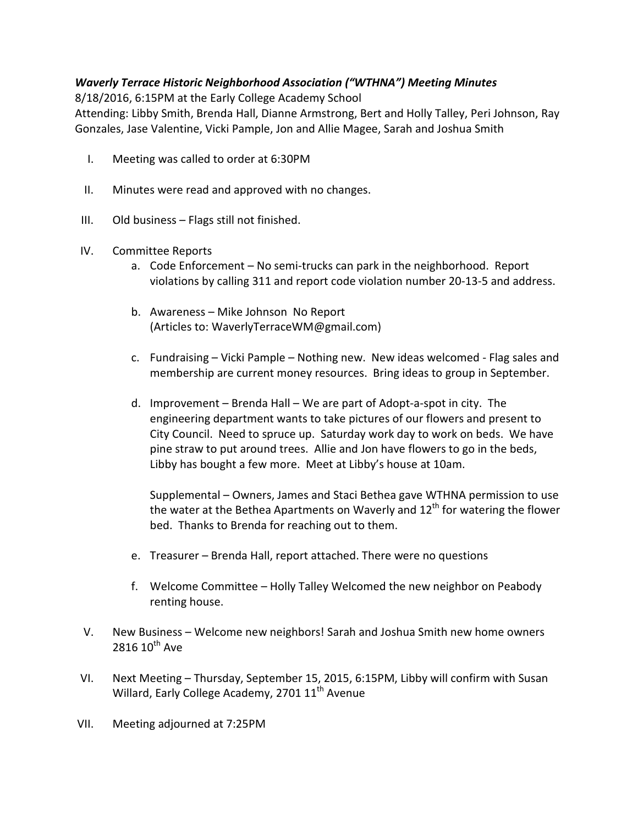## Waverly Terrace Historic Neighborhood Association ("WTHNA") Meeting Minutes

8/18/2016, 6:15PM at the Early College Academy School

Attending: Libby Smith, Brenda Hall, Dianne Armstrong, Bert and Holly Talley, Peri Johnson, Ray Gonzales, Jase Valentine, Vicki Pample, Jon and Allie Magee, Sarah and Joshua Smith

- I. Meeting was called to order at 6:30PM
- II. Minutes were read and approved with no changes.
- III. Old business Flags still not finished.
- IV. Committee Reports
	- a. Code Enforcement No semi-trucks can park in the neighborhood. Report violations by calling 311 and report code violation number 20-13-5 and address.
	- b. Awareness Mike Johnson No Report (Articles to: WaverlyTerraceWM@gmail.com)
	- c. Fundraising Vicki Pample Nothing new. New ideas welcomed Flag sales and membership are current money resources. Bring ideas to group in September.
	- d. Improvement Brenda Hall We are part of Adopt-a-spot in city. The engineering department wants to take pictures of our flowers and present to City Council. Need to spruce up. Saturday work day to work on beds. We have pine straw to put around trees. Allie and Jon have flowers to go in the beds, Libby has bought a few more. Meet at Libby's house at 10am.

Supplemental – Owners, James and Staci Bethea gave WTHNA permission to use the water at the Bethea Apartments on Waverly and  $12^{\text{th}}$  for watering the flower bed. Thanks to Brenda for reaching out to them.

- e. Treasurer Brenda Hall, report attached. There were no questions
- f. Welcome Committee Holly Talley Welcomed the new neighbor on Peabody renting house.
- V. New Business Welcome new neighbors! Sarah and Joshua Smith new home owners  $2816 10^{th}$  Ave
- VI. Next Meeting Thursday, September 15, 2015, 6:15PM, Libby will confirm with Susan Willard, Early College Academy, 2701 11<sup>th</sup> Avenue
- VII. Meeting adjourned at 7:25PM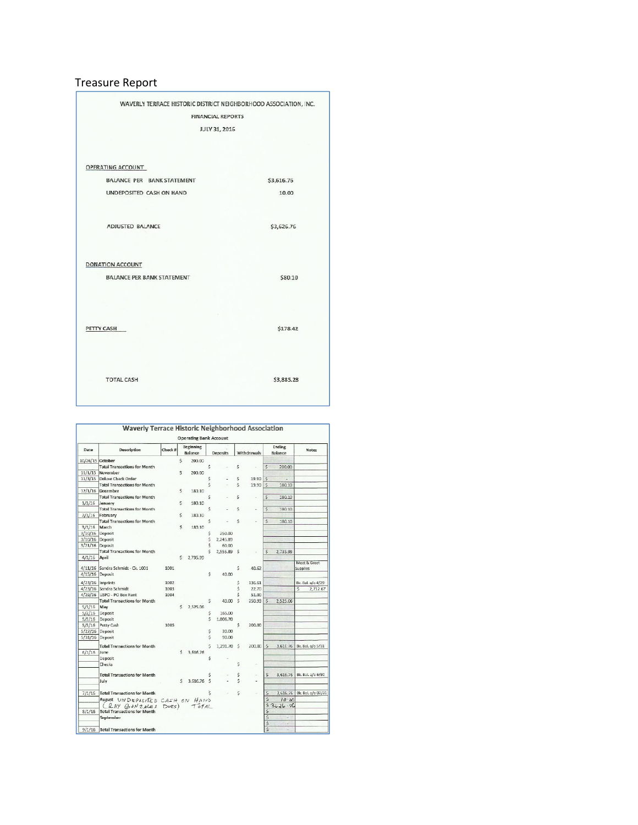## Treasure Report

| <b>FINANCIAL REPORTS</b>          |            |
|-----------------------------------|------------|
|                                   |            |
| JULY 31, 2016                     |            |
|                                   |            |
|                                   |            |
| OPERATING ACCOUNT                 |            |
| <b>BALANCE PER BANK STATEMENT</b> | \$3,616.76 |
| UNDEPOSITED CASH ON HAND          | 10.00      |
| <b>ADJUSTED BALANCE</b>           | \$3,626.76 |
| DONATION ACCOUNT                  |            |
| <b>BALANCE PER BANK STATEMENT</b> | \$80.10    |
|                                   |            |
| PETTY CASH                        | \$178.42   |
|                                   |            |
|                                   |            |
| <b>TOTAL CASH</b>                 | \$3,885.28 |

|                  | <b>Waverly Terrace Historic Neighborhood Association</b><br><b>Operating Bank Account</b> |         |    |                             |                         |                 |    |             |              |                   |                             |  |
|------------------|-------------------------------------------------------------------------------------------|---------|----|-----------------------------|-------------------------|-----------------|----|-------------|--------------|-------------------|-----------------------------|--|
| Date             | Description                                                                               | Check # |    | Beginning<br><b>Balance</b> |                         | <b>Deposits</b> |    | Withdrawals |              | Ending<br>Balance | <b>Notes</b>                |  |
| 10/26/15 October |                                                                                           |         | \$ | 200.00                      |                         |                 |    |             |              |                   |                             |  |
|                  | <b>Total Transactions for Month</b>                                                       |         |    |                             | S                       |                 | Ś  |             | Ś            | 200.00            |                             |  |
| 11/1/15          | November                                                                                  |         | Ś  | 200.00                      |                         |                 |    |             |              |                   |                             |  |
|                  | 11/3/15 Deluxe Check Order                                                                |         |    |                             | Ś                       |                 | Ś  | 19.90       | Ś            |                   |                             |  |
|                  | <b>Total Transactions for Month</b>                                                       |         |    |                             | $\overline{\mathsf{S}}$ |                 | Š  | 19.90       | Ś            | 180.10            |                             |  |
|                  | 12/1/16 December                                                                          |         | \$ | 180.10                      |                         |                 |    |             |              |                   |                             |  |
|                  | <b>Total Transactions for Month</b>                                                       |         |    |                             | Ś                       |                 | Ś  |             | $\mathsf{S}$ | 180.10            |                             |  |
| 1/1/16           | January                                                                                   |         | Ś  | 180.10                      |                         |                 |    |             |              |                   |                             |  |
|                  | <b>Total Transactions for Month</b>                                                       |         |    |                             | Ś                       |                 | Ś  |             | Ś            | 180.10            |                             |  |
| 2/1/16           | February                                                                                  |         | Ś  | 180.10                      |                         |                 |    |             |              |                   |                             |  |
|                  | <b>Total Transactions for Month</b>                                                       |         |    |                             | Ŝ                       |                 | Ś  |             | S            | 180.10            |                             |  |
| 3/1/16           | March                                                                                     |         | Ś  | 180.10                      |                         |                 |    |             |              |                   |                             |  |
| 3/10/16 Deposit  |                                                                                           |         |    |                             | Ś                       | 250.00          |    |             |              |                   |                             |  |
| 3/10/16          | Deposit                                                                                   |         |    |                             | Ś                       | 2,245.89        |    |             |              |                   |                             |  |
| 3/21/16 Deposit  |                                                                                           |         |    |                             | Ś                       | 60.00           |    |             |              |                   |                             |  |
|                  | <b>Total Transactions for Month</b>                                                       |         |    |                             | ¢                       | 2,555.89 S      |    |             | \$           | 2.735.99          |                             |  |
| 4/1/16           | April                                                                                     |         | Ś  | 2.735.99                    |                         |                 |    |             |              |                   |                             |  |
|                  | 4/11/16 Sandra Schmidt - Ck. 1001                                                         | 1001    |    |                             |                         |                 | S  | 40.62       |              |                   | Meet & Greet<br>Supplies    |  |
| 4/15/16 Deposit  |                                                                                           |         |    |                             | $\hat{\mathbf{S}}$      | 40.00           |    |             |              |                   |                             |  |
|                  |                                                                                           |         |    |                             |                         |                 |    |             |              |                   |                             |  |
|                  | 4/23/16 Imprints                                                                          | 1002    |    |                             |                         |                 | S  | 136.61      |              |                   | Bk. Bal. a/o 4/29           |  |
|                  | 4/23/16 Sandra Schmidt                                                                    | 1003    |    |                             |                         |                 | Ś  | 22.70       |              |                   | \$<br>2,712.67              |  |
|                  | 4/29/16 USPO - PO Box Rent                                                                | 1004    |    |                             |                         |                 | Ś  | 51.00       |              |                   |                             |  |
|                  | <b>Total Transactions for Month</b>                                                       |         |    |                             | Ŝ                       | 40.00           | Ŝ  | 250.93      | Ŝ            | 2.525.06          |                             |  |
| 5/1/16           | May                                                                                       |         |    | $5$ 2.525.06                |                         |                 |    |             |              |                   |                             |  |
| 5/2/16           | Deposit                                                                                   |         |    |                             | Ś                       | 165.00          |    |             |              |                   |                             |  |
| 5/5/16           | Deposit                                                                                   |         |    |                             | Ś                       | 1.006.70        |    |             |              |                   |                             |  |
| 5/5/16           | Petty Cash                                                                                | 1005    |    |                             |                         |                 | Ś  | 200.00      |              |                   |                             |  |
| 5/27/16          | Deposit                                                                                   |         |    |                             | \$                      | 30.00           |    |             |              |                   |                             |  |
| 5/31/16          | Deposit                                                                                   |         |    |                             | Ś                       | 90.00           |    |             |              |                   |                             |  |
|                  | <b>Total Transactions for Month</b>                                                       |         |    |                             | Ś                       | 1,291.70 S      |    | 200.00      | S            |                   | 3.616.76 Bk. Bal. a/o 5/31  |  |
| 6/1/16           | line                                                                                      |         |    | \$3.616.76                  |                         |                 |    |             |              |                   |                             |  |
|                  | Deposit                                                                                   |         |    |                             | Ś                       |                 |    |             |              |                   |                             |  |
|                  | Checks                                                                                    |         |    |                             |                         |                 | S  |             |              |                   |                             |  |
|                  | <b>Total Transactions for Month</b>                                                       |         |    |                             | Ś                       |                 | \$ | ×           | $\mathsf{S}$ |                   | 3,616.76 Bk. Bal. a/o 6/30  |  |
|                  | July                                                                                      |         | Ś. | 3.616.76 \$                 |                         |                 | Ś  |             |              |                   |                             |  |
| 7/1/16           | <b>Total Transactions for Month</b>                                                       |         |    |                             |                         |                 | Ś  |             | Ś            |                   | 3,616.76 Bk. Bal. a/o 07/31 |  |
|                  | August UNDEPOSITED CASH ON HAND                                                           |         |    |                             |                         |                 |    |             | $\mathsf{S}$ | $10 - 00$         |                             |  |
|                  | (RAY GONZALES DUES)                                                                       |         |    | TOTAL                       |                         |                 |    |             |              | $53626 - 76$      |                             |  |
| 8/1/16           | <b>Total Transactions for Month</b>                                                       |         |    |                             |                         |                 |    |             | \$           |                   |                             |  |
|                  | September                                                                                 |         |    |                             |                         |                 |    |             | Ś            | ÷                 |                             |  |
|                  |                                                                                           |         |    |                             |                         |                 |    |             | \$           | ۰                 |                             |  |
| 9/1/16           | <b>Total Transactions for Month</b>                                                       |         |    |                             |                         |                 |    |             | Ś            |                   |                             |  |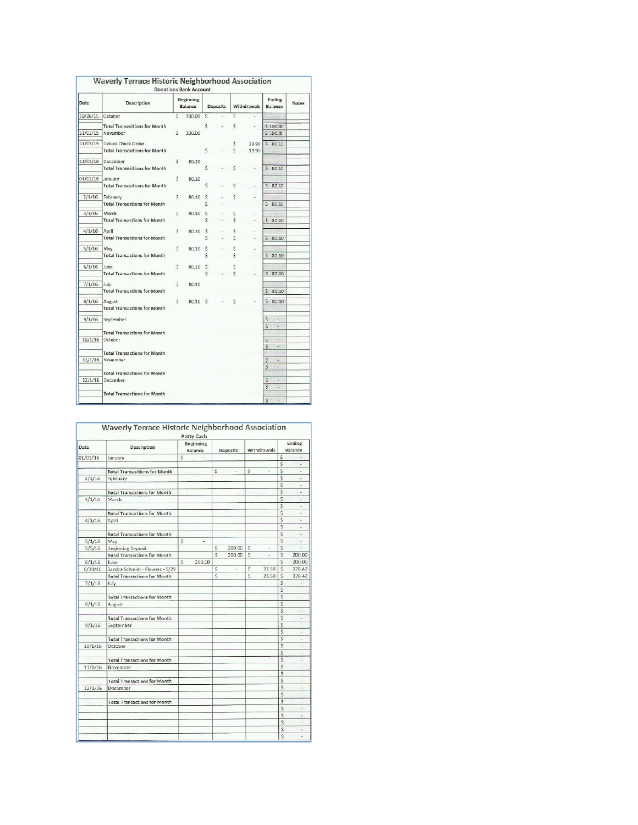|          |                                                 |    | <b>Donations Bank Account</b> |              |                 |        |             |                                |              |
|----------|-------------------------------------------------|----|-------------------------------|--------------|-----------------|--------|-------------|--------------------------------|--------------|
| Date     | Description                                     |    | <b>Beginning</b><br>Balance   |              | <b>Deposits</b> |        | Withdrawals | <b>Ending</b><br>Balance       | <b>Notes</b> |
| 10/26/15 | October                                         | Ś  | 100.00                        | Ś            |                 | Ś      |             |                                |              |
|          | <b>Total Transacitions for Month</b>            |    |                               | Ś            |                 | Ś      |             | \$100.00                       |              |
| 11/01/15 | November                                        | S  | 100.00                        |              |                 |        |             | \$100.00                       |              |
| 11/03/15 | Deluxe Check Order                              |    |                               |              |                 | \$     | 19.90       | \$80.10                        |              |
|          | <b>Total Transacitions for Month</b>            |    |                               | \$           |                 | \$.    | 19.90       |                                |              |
| 12/01/16 | December                                        | Ś  | 80.10                         |              |                 |        |             |                                |              |
|          | <b>Total Transacitions for Month</b>            |    |                               | Ś            |                 | Ś      |             | \$80.10                        |              |
| 01/01/16 | January                                         | Ś  | 80.10                         |              |                 |        |             |                                |              |
|          | <b>Total Transacitions for Month</b>            |    |                               | Ś            |                 | \$     |             | \$80.10                        |              |
| 2/1/16   | February                                        | \$ | 80.10                         | Ś            |                 | \$     |             |                                |              |
|          | <b>Total Transactions for Month</b>             |    |                               | Ś            |                 |        |             | Š.<br>80.10                    |              |
| 3/1/16   | March                                           | S  | 80.10                         | S            |                 | \$     |             |                                |              |
|          | <b>Total Transactions for Month</b>             |    |                               | \$           |                 | Ś      |             | \$80.10                        |              |
| 4/1/16   | April                                           | Ś  | 80.10                         | $\mathsf{S}$ |                 | \$     |             |                                |              |
|          | <b>Total Transactions for Month</b>             |    |                               | \$           |                 | \$     |             | \$80.10                        |              |
| 5/1/16   | May                                             | Ś  | 80.10                         | $\ddot{s}$   |                 | \$     |             |                                |              |
|          | <b>Total Transactions for Month</b>             |    |                               | S            |                 | Ś      |             | \$80.10                        |              |
| 6/1/16   | June                                            |    |                               |              |                 |        |             |                                |              |
|          | <b>Total Transactions for Month</b>             | S  | 80.10                         | Ś<br>Ś       |                 | Ś<br>Ś |             | \$80.10                        |              |
|          |                                                 |    |                               |              |                 |        |             |                                |              |
| 7/1/16   | July<br><b>Total Transactions for Month</b>     | \$ | 80.10                         |              |                 |        |             | $\mathsf{S}$<br>80.10          |              |
|          |                                                 |    |                               |              |                 |        |             |                                |              |
| 8/1/16   | August<br><b>Total Transactions for Month</b>   | Ś  | 80.10 S                       |              |                 | S      |             | $\mathsf{S}$<br>80.10          |              |
|          |                                                 |    |                               |              |                 |        |             |                                |              |
| 9/1/16   | September                                       |    |                               |              |                 |        |             | Ś<br>Ξ<br>Ś<br>÷.              |              |
|          | <b>Total Transactions for Month</b>             |    |                               |              |                 |        |             |                                |              |
| 10/1/16  | October                                         |    |                               |              |                 |        |             | $\overline{\mathsf{S}}$<br>ä,  |              |
|          |                                                 |    |                               |              |                 |        |             | L                              |              |
|          | <b>Total Transactions for Month</b><br>November |    |                               |              |                 |        |             | \$<br>i.                       |              |
| 11/1/16  |                                                 |    |                               |              |                 |        |             | Š.<br>$\overline{\phantom{a}}$ |              |
|          | <b>Total Transactions for Month</b>             |    |                               |              |                 |        |             |                                |              |
| 12/1/16  | December                                        |    |                               |              |                 |        |             | \$                             |              |
|          | <b>Total Transactions for Month</b>             |    |                               |              |                 |        |             | $\overline{\mathsf{S}}$<br>÷   |              |
|          |                                                 |    |                               |              |                 |        |             | $\overline{\mathsf{s}}$        |              |

|          | Waverly Terrace Historic Neighborhood Association |    | Petty Cash           |                         |          |              |             |                         |                |  |
|----------|---------------------------------------------------|----|----------------------|-------------------------|----------|--------------|-------------|-------------------------|----------------|--|
| Date     | Description                                       |    | Beginning<br>Balance |                         | Deposits |              | Withdrawals | Ending<br>Balance       |                |  |
| 01/01/16 | January                                           | Ŝ  | ÷                    |                         |          |              |             | Ŝ                       |                |  |
|          |                                                   |    |                      |                         |          |              |             | Ś                       |                |  |
|          | <b>Total Transacitions for Month</b>              |    |                      | S                       |          | S            |             | Š                       |                |  |
| 2/1/16   | February                                          |    |                      |                         |          |              |             | \$                      | $\overline{a}$ |  |
|          |                                                   |    |                      |                         |          |              |             | S                       |                |  |
|          | <b>Total Transactions for Month</b>               |    |                      |                         |          |              |             | $\overline{\mathsf{s}}$ | ÷              |  |
| 3/1/16   | March                                             |    |                      |                         |          |              |             | Š                       |                |  |
|          |                                                   |    |                      |                         |          |              |             | Ś                       |                |  |
|          | <b>Total Transactions for Month</b>               |    |                      |                         |          |              |             | $\overline{\mathsf{S}}$ | ÷              |  |
| 4/1/16   | April                                             |    |                      |                         |          |              |             | Ś                       | ٠              |  |
|          |                                                   |    |                      |                         |          |              |             |                         | ٠              |  |
|          | <b>Total Transactions for Month</b>               |    |                      |                         |          |              |             | \$                      | ÷              |  |
| 5/1/16   | May                                               | \$ | $\overline{a}$       |                         |          |              |             | $\mathsf{S}$            | ÷              |  |
| 5/5/16   | <b>Beginning Deposit</b>                          |    |                      | \$                      | 200.00   | $\mathsf{S}$ |             | \$                      |                |  |
|          | <b>Total Transactions for Month</b>               |    |                      | \$                      | 200.00   | Ś            | ä,          | Ś                       | 200.00         |  |
| 6/1/16   | June                                              | Š  | 200.00               |                         |          |              |             | $\overline{\mathsf{S}}$ | 200.00         |  |
| 6/30/16  | Sandra Schmidt - Flowers - 5/29                   |    |                      | \$                      | ä        | \$           | 21.58       | $\ddot{s}$              | 178.42         |  |
|          | <b>Total Transactions for Month</b>               |    |                      | $\overline{\mathsf{s}}$ |          | S            | 21.58       | Š                       | 178.42         |  |
| 7/1/16   | July                                              |    |                      |                         |          |              |             | $\overline{\mathsf{s}}$ |                |  |
|          |                                                   |    |                      |                         |          |              |             | Ś                       | u              |  |
|          | <b>Total Transactions for Month</b>               |    |                      |                         |          |              |             | $\overline{\mathsf{s}}$ | ä,             |  |
| 8/1/16   | August                                            |    |                      |                         |          |              |             | Ś                       |                |  |
|          |                                                   |    |                      |                         |          |              |             | Ś                       | ×              |  |
|          | <b>Total Transactions for Month</b>               |    |                      |                         |          |              |             | S                       | i.             |  |
| 9/1/16   | September                                         |    |                      |                         |          |              |             | Ś                       | 2              |  |
|          |                                                   |    |                      |                         |          |              |             | Ś                       | i.             |  |
|          | <b>Total Transactions for Month</b>               |    |                      |                         |          |              |             | \$                      |                |  |
| 10/1/16  | October                                           |    |                      |                         |          |              |             | $\overline{\mathsf{s}}$ | ÷.             |  |
|          |                                                   |    |                      |                         |          |              |             | Ś                       | ×              |  |
|          | <b>Total Transactions for Month</b>               |    |                      |                         |          |              |             |                         |                |  |
| 11/1/16  | November                                          |    |                      |                         |          |              |             | \$                      | z              |  |
|          |                                                   |    |                      |                         |          |              |             |                         | ÷              |  |
|          | <b>Total Transactions for Month</b>               |    |                      |                         |          |              |             | \$                      |                |  |
| 12/1/16  | December                                          |    |                      |                         |          |              |             | \$                      | ٠              |  |
|          |                                                   |    |                      |                         |          |              |             | $\overline{\mathsf{S}}$ |                |  |
|          | <b>Total Transactions for Month</b>               |    |                      |                         |          |              |             | \$                      | ٠              |  |
|          |                                                   |    |                      |                         |          |              |             | s                       |                |  |
|          |                                                   |    |                      |                         |          |              |             | Ś                       | ٠              |  |
|          |                                                   |    |                      |                         |          |              |             | Ś                       | u              |  |
|          |                                                   |    |                      |                         |          |              |             | \$                      | ٠              |  |
|          |                                                   |    |                      |                         |          |              |             | \$                      |                |  |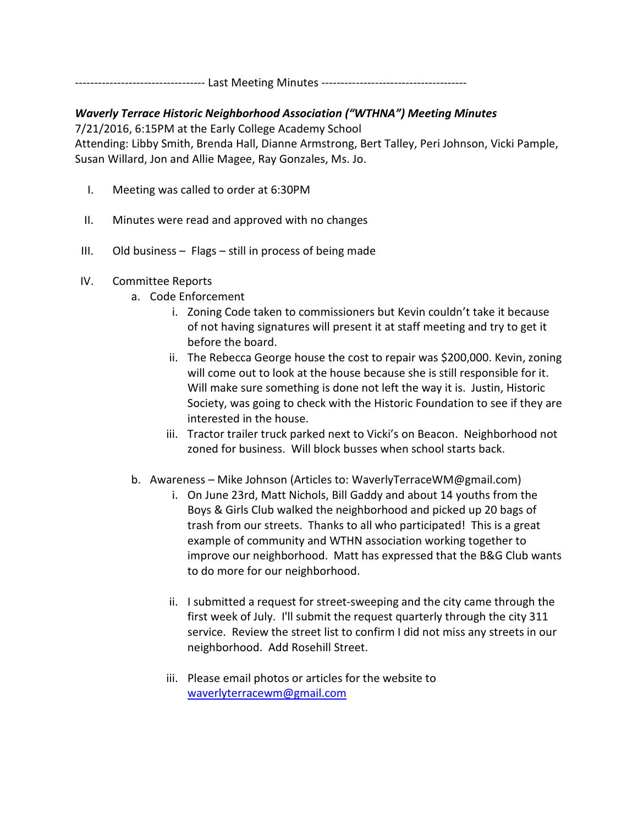---------------------------------- Last Meeting Minutes --------------------------------------

## Waverly Terrace Historic Neighborhood Association ("WTHNA") Meeting Minutes

7/21/2016, 6:15PM at the Early College Academy School Attending: Libby Smith, Brenda Hall, Dianne Armstrong, Bert Talley, Peri Johnson, Vicki Pample, Susan Willard, Jon and Allie Magee, Ray Gonzales, Ms. Jo.

- I. Meeting was called to order at 6:30PM
- II. Minutes were read and approved with no changes
- III. Old business Flags still in process of being made
- IV. Committee Reports
	- a. Code Enforcement
		- i. Zoning Code taken to commissioners but Kevin couldn't take it because of not having signatures will present it at staff meeting and try to get it before the board.
		- ii. The Rebecca George house the cost to repair was \$200,000. Kevin, zoning will come out to look at the house because she is still responsible for it. Will make sure something is done not left the way it is. Justin, Historic Society, was going to check with the Historic Foundation to see if they are interested in the house.
		- iii. Tractor trailer truck parked next to Vicki's on Beacon. Neighborhood not zoned for business. Will block busses when school starts back.
	- b. Awareness Mike Johnson (Articles to: WaverlyTerraceWM@gmail.com)
		- i. On June 23rd, Matt Nichols, Bill Gaddy and about 14 youths from the Boys & Girls Club walked the neighborhood and picked up 20 bags of trash from our streets. Thanks to all who participated! This is a great example of community and WTHN association working together to improve our neighborhood. Matt has expressed that the B&G Club wants to do more for our neighborhood.
		- ii. I submitted a request for street-sweeping and the city came through the first week of July. I'll submit the request quarterly through the city 311 service. Review the street list to confirm I did not miss any streets in our neighborhood. Add Rosehill Street.
		- iii. Please email photos or articles for the website to waverlyterracewm@gmail.com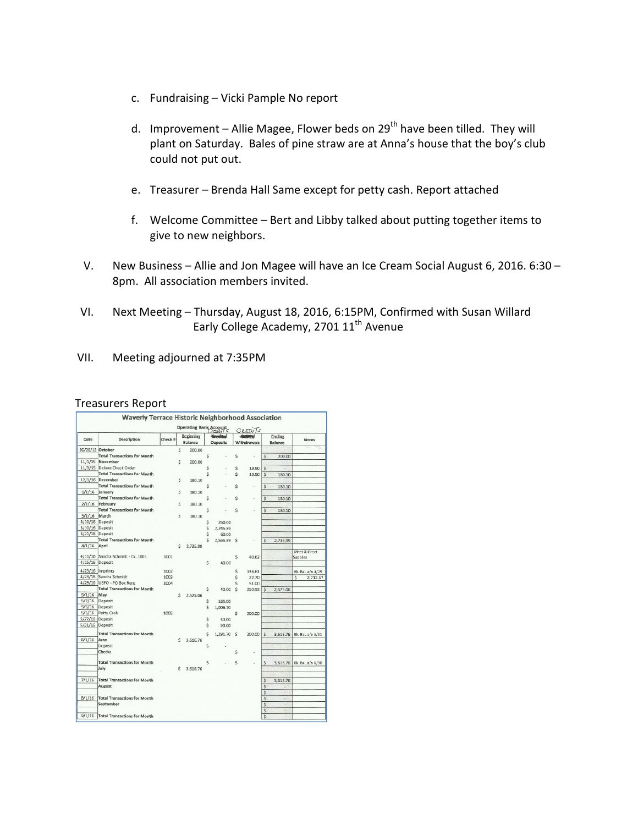- c. Fundraising Vicki Pample No report
- d. Improvement Allie Magee, Flower beds on  $29<sup>th</sup>$  have been tilled. They will plant on Saturday. Bales of pine straw are at Anna's house that the boy's club could not put out.
- e. Treasurer Brenda Hall Same except for petty cash. Report attached
- f. Welcome Committee Bert and Libby talked about putting together items to give to new neighbors.
- V. New Business Allie and Jon Magee will have an Ice Cream Social August 6, 2016. 6:30 8pm. All association members invited.
- VI. Next Meeting Thursday, August 18, 2016, 6:15PM, Confirmed with Susan Willard Early College Academy, 2701 11<sup>th</sup> Avenue
- VII. Meeting adjourned at 7:35PM

## Treasurers Report

|                  | Waverly Terrace Historic Neighborhood Association |         |    | Operating Bank Account      |   |                 |    |                                         |                          |                   |                            |
|------------------|---------------------------------------------------|---------|----|-----------------------------|---|-----------------|----|-----------------------------------------|--------------------------|-------------------|----------------------------|
| Date             | Description                                       | Check # |    | <b>Beginning</b><br>Balance |   | <b>Deposits</b> |    | $C$ <sub>REDI</sub> $Is$<br>Withdrawals |                          | Ending<br>Balance | <b>Notes</b>               |
| 10/26/15 October |                                                   |         | Ś  | 200.00                      |   |                 |    |                                         |                          |                   |                            |
|                  | <b>Total Transactions for Month</b>               |         |    |                             | Ś |                 | Ś  |                                         | \$                       | 200.00            |                            |
| 11/1/15          | November                                          |         | Ś  | 200.00                      |   |                 |    |                                         |                          |                   |                            |
| 11/3/15          | Deluxe Check Order                                |         |    |                             | Ś |                 | \$ | 19.90                                   | Ś                        |                   |                            |
|                  | <b>Total Transactions for Month</b>               |         |    |                             | Ŝ |                 | Ś  | 19.90                                   | Ś                        | 180.10            |                            |
|                  | 12/1/16 December                                  |         | Ś  | 180.10                      |   |                 |    |                                         |                          |                   |                            |
|                  | <b>Total Transactions for Month</b>               |         |    |                             | Ŝ |                 | Ś  | ٠                                       | Ś                        | 180.10            |                            |
| 1/1/16           | January                                           |         | ¢  | 180.10                      |   |                 |    |                                         |                          |                   |                            |
|                  | <b>Total Transactions for Month</b>               |         |    |                             | Ś |                 | Ś  | i.                                      | $\dot{\mathsf{s}}$       | 180.10            |                            |
| 2/1/16           | February                                          |         | Ś  | 180.10                      |   |                 |    |                                         |                          |                   |                            |
|                  | <b>Total Transactions for Month</b>               |         |    |                             | S |                 | S  |                                         | Ś                        | 180.10            |                            |
| 3/1/16           | March                                             |         | Ś  | 180.10                      |   |                 |    |                                         |                          |                   |                            |
| 3/10/16 Deposit  |                                                   |         |    |                             | Ś | 250.00          |    |                                         |                          |                   |                            |
| 3/10/16 Deposit  |                                                   |         |    |                             | Ś | 2,245.89        |    |                                         |                          |                   |                            |
| 3/21/16 Deposit  |                                                   |         |    |                             | Ś | 60.00           |    |                                         |                          |                   |                            |
|                  | <b>Total Transactions for Month</b>               |         |    |                             | Ś | 2,555.89        | S  |                                         | Ś                        | 2,735.99          |                            |
| 4/1/16           | April                                             |         | Ś  | 2,735.99                    |   |                 |    |                                         |                          |                   |                            |
|                  |                                                   |         |    |                             |   |                 |    |                                         |                          |                   | Meet & Greet               |
|                  | 4/11/16 Sandra Schmidt - Ck. 1001                 | 1001    |    |                             |   |                 | S  | 40.62                                   |                          |                   | Supplies                   |
| 4/15/16 Deposit  |                                                   |         |    |                             | Ś | 40.00           |    |                                         |                          |                   |                            |
| 4/23/16 Imprints |                                                   | 1002    |    |                             |   |                 | \$ | 136.61                                  |                          |                   | Bk. Bal. a/o 4/29          |
|                  | 4/23/16 Sandra Schmidt                            | 1003    |    |                             |   |                 | \$ | 22.70                                   |                          |                   | Ś<br>2.712.67              |
|                  | 4/29/16 USPO - PO Box Rent                        | 1004    |    |                             |   |                 | Ś  | 51.00                                   |                          |                   |                            |
|                  | <b>Total Transactions for Month</b>               |         |    |                             | Ś | 40.00           | Ś  | 250.93                                  | \$                       | 2,525.06          |                            |
| 5/1/16           | May                                               |         | Ś  | 2,525.06                    |   |                 |    |                                         |                          |                   |                            |
| 5/2/16           | Deposit                                           |         |    |                             | Ś | 165.00          |    |                                         |                          |                   |                            |
| 5/5/16           | Deposit                                           |         |    |                             | Ś | 1,006.70        |    |                                         |                          |                   |                            |
| 5/5/16           | Petty Cash                                        | 1005    |    |                             |   |                 | Ś  | 200.00                                  |                          |                   |                            |
| 5/27/16          | Deposit                                           |         |    |                             | Ś | 30.00           |    |                                         |                          |                   |                            |
| 5/31/16          | Deposit                                           |         |    |                             | Ś | 90.00           |    |                                         |                          |                   |                            |
|                  | <b>Total Transactions for Month</b>               |         |    |                             | Ś | 1,291.70        |    |                                         |                          |                   |                            |
| 6/1/16           | June                                              |         | Ś  |                             |   |                 | S  | 200.00                                  | Ŝ                        |                   | 3,616.76 Bk. Bal. a/o 5/31 |
|                  | Deposit                                           |         |    | 3,616.76                    | Ś |                 |    |                                         |                          |                   |                            |
|                  | Checks                                            |         |    |                             |   |                 | Ś  |                                         |                          |                   |                            |
|                  |                                                   |         |    |                             |   |                 |    |                                         |                          |                   |                            |
|                  | <b>Total Transactions for Month</b>               |         |    |                             | Ś |                 | Ś  |                                         | \$                       |                   | 3,616.76 Bk. Bal. a/o 6/30 |
|                  | July                                              |         | Ś. | 3.616.76                    |   |                 |    |                                         |                          |                   |                            |
|                  |                                                   |         |    |                             |   |                 |    |                                         |                          |                   |                            |
| 7/1/16           | <b>Total Transactions for Month</b>               |         |    |                             |   |                 |    |                                         | \$                       | 3.616.76          |                            |
|                  | August                                            |         |    |                             |   |                 |    |                                         | \$                       |                   |                            |
|                  |                                                   |         |    |                             |   |                 |    |                                         | \$                       |                   |                            |
| 8/1/16           | <b>Total Transactions for Month</b>               |         |    |                             |   |                 |    |                                         | \$                       | ×                 |                            |
|                  | September                                         |         |    |                             |   |                 |    |                                         | $\overline{\mathcal{S}}$ | ÷                 |                            |
|                  |                                                   |         |    |                             |   |                 |    |                                         | \$                       | c                 |                            |
| 9/1/16           | <b>Total Transactions for Month</b>               |         |    |                             |   |                 |    |                                         | $\overline{\mathsf{s}}$  |                   |                            |